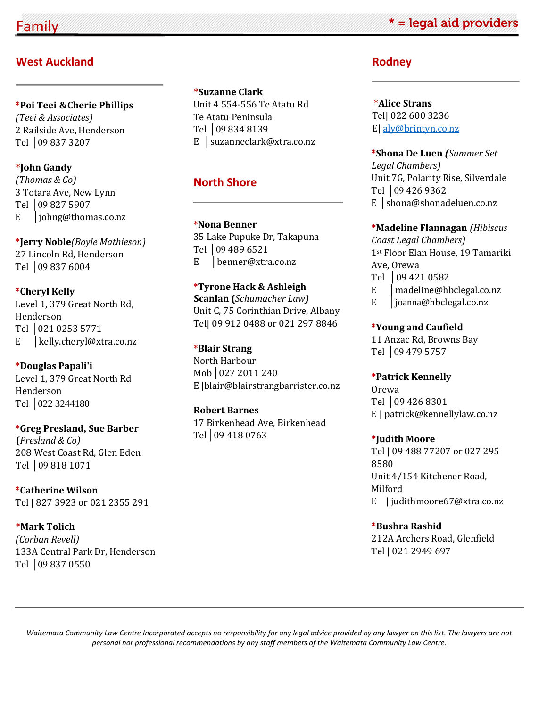# **West Auckland**

**\*Poi Teei &Cherie Phillips**  *(Teei & Associates)* 2 Railside Ave, Henderson Tel │09 837 3207

### **\*John Gandy**

*(Thomas & Co)* 3 Totara Ave, New Lynn Tel │09 827 5907 E │johng@thomas.co.nz

**\*Jerry Noble***(Boyle Mathieson)*  27 Lincoln Rd, Henderson Tel │09 837 6004

**\*Cheryl Kelly**  Level 1, 379 Great North Rd, Henderson Tel │021 0253 5771 E | kelly.cheryl@xtra.co.nz

**\*Douglas Papali'i**  Level 1, 379 Great North Rd Henderson Tel | 022 3244180

**\*Greg Presland, Sue Barber (***Presland & Co)* 208 West Coast Rd, Glen Eden Tel │09 818 1071

**\*Catherine Wilson** Tel | 827 3923 or 021 2355 291

**\*Mark Tolich**  *(Corban Revell)* 133A Central Park Dr, Henderson Tel │09 837 0550

**\*Suzanne Clark**  Unit 4 554-556 Te Atatu Rd Te Atatu Peninsula Tel │09 834 8139 E │suzanneclark@xtra.co.nz

# **North Shore**

**\*Nona Benner**  35 Lake Pupuke Dr, Takapuna Tel │09 489 6521 E │benner@xtra.co.nz

**\*Tyrone Hack & Ashleigh Scanlan (***Schumacher Law)*  Unit C, 75 Corinthian Drive, Albany Tel| 09 912 0488 or 021 297 8846

**\*Blair Strang**  North Harbour Mob│027 2011 240 E |blair@blairstrangbarrister.co.nz

**Robert Barnes**  17 Birkenhead Ave, Birkenhead Tel│09 418 0763

**Rodney**

\***Alice Strans** Tel| 022 600 3236 E| [aly@brintyn.co.nz](mailto:aly@brintyn.co.nz)

**\*Shona De Luen** *(Summer Set Legal Chambers)* Unit 7G, Polarity Rise, Silverdale Tel │09 426 9362 E │shona@shonadeluen.co.nz

**\*Madeline Flannagan** *(Hibiscus Coast Legal Chambers)* 1st Floor Elan House, 19 Tamariki Ave, Orewa Tel │09 421 0582

E | madeline@hbclegal.co.nz

E │joanna@hbclegal.co.nz

**\*Young and Caufield**

11 Anzac Rd, Browns Bay Tel │09 479 5757

**\*Patrick Kennelly**  Orewa Tel │09 426 8301 E | patrick@kennellylaw.co.nz

**\*Judith Moore** Tel | 09 488 77207 or 027 295 8580 Unit 4/154 Kitchener Road, Milford E | judithmoore67@xtra.co.nz

**\*Bushra Rashid**  212A Archers Road, Glenfield Tel | 021 2949 697

*Waitemata Community Law Centre Incorporated accepts no responsibility for any legal advice provided by any lawyer on this list. The lawyers are not personal nor professional recommendations by any staff members of the Waitemata Community Law Centre.* 

# \* = legal aid providers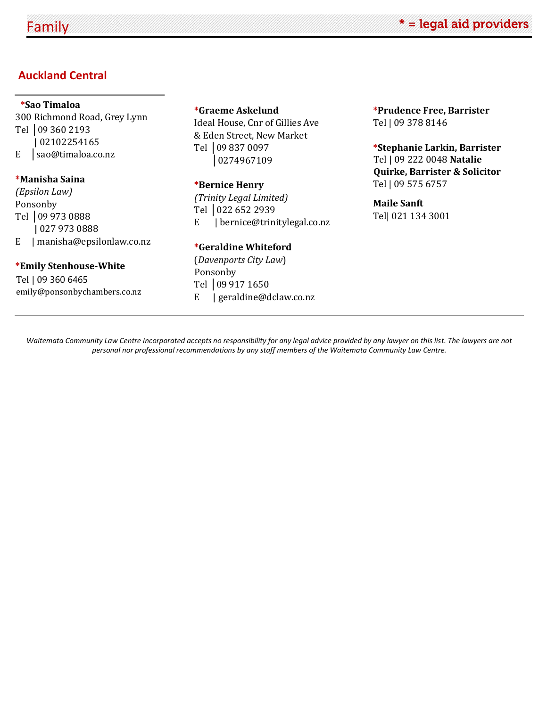# **Auckland Central**

### **\*Sao Timaloa**

300 Richmond Road, Grey Lynn Tel │09 360 2193 | 02102254165 E │sao@timaloa.co.nz

### **\*Manisha Saina**

*(Epsilon Law)* Ponsonby Tel │09 973 0888 **|** 027 973 0888 E | manisha@epsilonlaw.co.nz

### **\*Emily Stenhouse-White**

Tel | 09 360 6465 emily@ponsonbychambers.co.nz

### **\*Graeme Askelund**

Ideal House, Cnr of Gillies Ave & Eden Street, New Market Tel │09 837 0097 │0274967109

#### **\*Bernice Henry**

*(Trinity Legal Limited)* Tel │022 652 2939 E | bernice@trinitylegal.co.nz

### **\*Geraldine Whiteford**

(*Davenports City Law*) Ponsonby Tel │09 917 1650 E | geraldine@dclaw.co.nz **\*Prudence Free, Barrister**  Tel | 09 378 8146

## **\*Stephanie Larkin, Barrister** Tel | 09 222 0048 **Natalie Quirke, Barrister & Solicitor** Tel | 09 575 6757

# **Maile Sanft** Tel| 021 134 3001

*Waitemata Community Law Centre Incorporated accepts no responsibility for any legal advice provided by any lawyer on this list. The lawyers are not personal nor professional recommendations by any staff members of the Waitemata Community Law Centre.*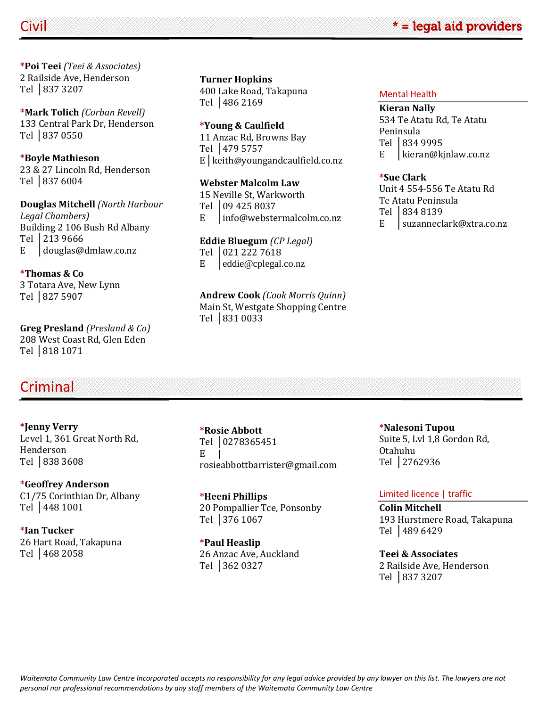

**\*Poi Teei** *(Teei & Associates)* 2 Railside Ave, Henderson Tel │837 3207

**\*Mark Tolich** *(Corban Revell)* 133 Central Park Dr, Henderson Tel │837 0550

**\*Boyle Mathieson** 23 & 27 Lincoln Rd, Henderson Tel │837 6004

**Douglas Mitchell** *(North Harbour Legal Chambers)* Building 2 106 Bush Rd Albany Tel │213 9666 E │douglas@dmlaw.co.nz

**\*Thomas & Co** 3 Totara Ave, New Lynn Tel │827 5907

**Greg Presland** *(Presland & Co)* 208 West Coast Rd, Glen Eden Tel │818 1071

**Turner Hopkins** 400 Lake Road, Takapuna Tel │486 2169

### **\*Young & Caulfield**

11 Anzac Rd, Browns Bay Tel │479 5757 E│keith@youngandcaulfield.co.nz

### **Webster Malcolm Law**

15 Neville St, Warkworth Tel │09 425 8037 E │info@webstermalcolm.co.nz

# **Eddie Bluegum** *(CP Legal)*

Tel | 021 222 7618 E │eddie@cplegal.co.nz

### **Andrew Cook** *(Cook Morris Quinn)* Main St, Westgate Shopping Centre Tel │831 0033

#### Mental Health

**Kieran Nally** 534 Te Atatu Rd, Te Atatu Peninsula Tel │834 9995 E │kieran@kjnlaw.co.nz

### **\*Sue Clark**

Unit 4 554-556 Te Atatu Rd Te Atatu Peninsula

- Tel 1834 8139
- E │suzanneclark@xtra.co.nz

# Criminal

**\*Jenny Verry** Level 1, 361 Great North Rd, Henderson Tel │838 3608

**\*Geoffrey Anderson** C1/75 Corinthian Dr, Albany Tel │448 1001

**\*Ian Tucker** 26 Hart Road, Takapuna Tel │468 2058

**\*Rosie Abbott** Tel │0278365451  $E$ rosieabbottbarrister@gmail.com

**\*Heeni Phillips** 20 Pompallier Tce, Ponsonby Tel │376 1067

**\*Paul Heaslip** 26 Anzac Ave, Auckland Tel │362 0327

**\*Nalesoni Tupou** Suite 5, Lvl 1,8 Gordon Rd, Otahuhu Tel │2762936

## Limited licence | traffic

**Colin Mitchell** 193 Hurstmere Road, Takapuna Tel │489 6429

**Teei & Associates** 2 Railside Ave, Henderson Tel │837 3207